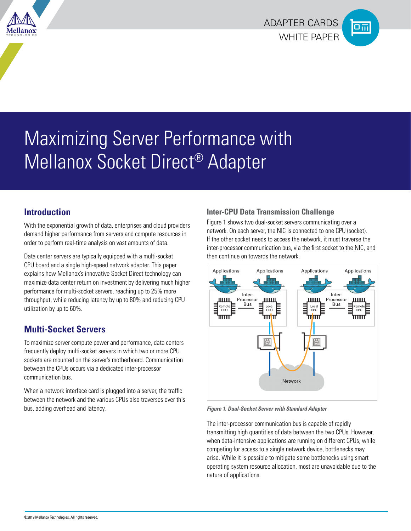



# Maximizing Server Performance with Mellanox Socket Direct® Adapter

## **Introduction**

With the exponential growth of data, enterprises and cloud providers demand higher performance from servers and compute resources in order to perform real-time analysis on vast amounts of data.

Data center servers are typically equipped with a multi-socket CPU board and a single high-speed network adapter. This paper explains how Mellanox's innovative Socket Direct technology can maximize data center return on investment by delivering much higher performance for multi-socket servers, reaching up to 25% more throughput, while reducing latency by up to 80% and reducing CPU utilization by up to 60%.

# **Multi-Socket Servers**

To maximize server compute power and performance, data centers frequently deploy multi-socket servers in which two or more CPU sockets are mounted on the server's motherboard. Communication between the CPUs occurs via a dedicated inter-processor communication bus.

When a network interface card is plugged into a server, the traffic between the network and the various CPUs also traverses over this bus, adding overhead and latency.

## **Inter-CPU Data Transmission Challenge**

Figure 1 shows two dual-socket servers communicating over a network. On each server, the NIC is connected to one CPU (socket). If the other socket needs to access the network, it must traverse the inter-processor communication bus, via the first socket to the NIC, and then continue on towards the network.



*Figure 1. Dual-Socket Server with Standard Adapter*

The inter-processor communication bus is capable of rapidly transmitting high quantities of data between the two CPUs. However, when data-intensive applications are running on different CPUs, while competing for access to a single network device, bottlenecks may arise. While it is possible to mitigate some bottlenecks using smart operating system resource allocation, most are unavoidable due to the nature of applications.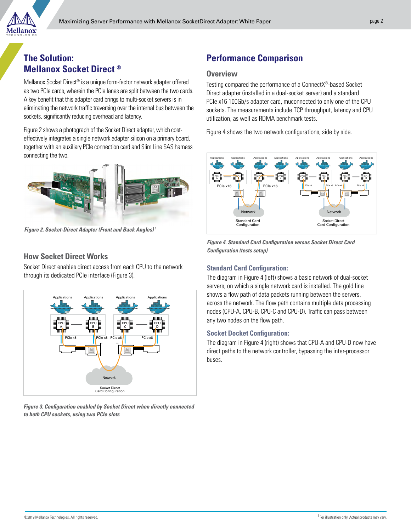

## **The Solution: Mellanox Socket Direct ®**

Mellanox Socket Direct® is a unique form-factor network adapter offered as two PCIe cards, wherein the PCIe lanes are split between the two cards. A key benefit that this adapter card brings to multi-socket servers is in eliminating the network traffic traversing over the internal bus between the sockets, significantly reducing overhead and latency.

Figure 2 shows a photograph of the Socket Direct adapter, which costeffectively integrates a single network adapter silicon on a primary board, together with an auxiliary PCIe connection card and Slim Line SAS harness connecting the two.



**Figure 2. Socket-Direct Adapter (Front and Back Angles)** †

### **How Socket Direct Works**

Socket Direct enables direct access from each CPU to the network through its dedicated PCIe interface (Figure 3).



**Figure 3. Configuration enabled by Socket Direct when directly connected to both CPU sockets, using two PCIe slots** 

# **Performance Comparison**

#### **Overview**

Testing compared the performance of a ConnectX®-based Socket Direct adapter (installed in a dual-socket server) and a standard PCIe x16 100Gb/s adapter card, muconnected to only one of the CPU sockets. The measurements include TCP throughput, latency and CPU utilization, as well as RDMA benchmark tests.

Figure 4 shows the two network configurations, side by side.



**Figure 4. Standard Card Configuration versus Socket Direct Card Configuration (tests setup)**

#### **Standard Card Configuration:**

The diagram in Figure 4 (left) shows a basic network of dual-socket servers, on which a single network card is installed. The gold line shows a flow path of data packets running between the servers, across the network. The flow path contains multiple data processing nodes (CPU-A, CPU-B, CPU-C and CPU-D). Traffic can pass between any two nodes on the flow path.

#### **Socket Docket Configuration:**

The diagram in Figure 4 (right) shows that CPU-A and CPU-D now have direct paths to the network controller, bypassing the inter-processor buses.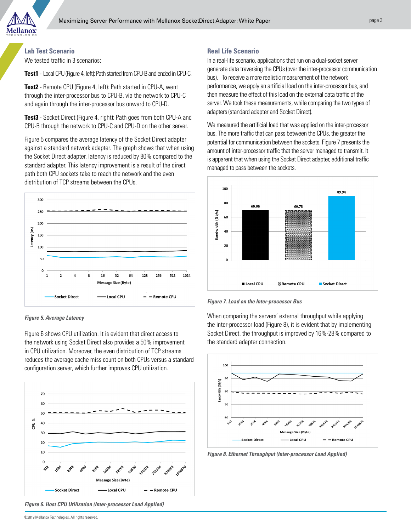

#### **Lab Test Scenario**

We tested traffic in 3 scenarios:

**Test1** - Local CPU (Figure 4, left): Path started from CPU-B and ended in CPU-C.

**Test2** - Remote CPU (Figure 4, left): Path started in CPU-A, went through the inter-processor bus to CPU-B, via the network to CPU-C and again through the inter-processor bus onward to CPU-D.

**Test3** - Socket Direct (Figure 4, right): Path goes from both CPU-A and CPU-B through the network to CPU-C and CPU-D on the other server.

Figure 5 compares the average latency of the Socket Direct adapter against a standard network adapter. The graph shows that when using the Socket Direct adapter, latency is reduced by 80% compared to the standard adapter. This latency improvement is a result of the direct path both CPU sockets take to reach the network and the even distribution of TCP streams between the CPUs.



**Figure 5. Average Latency**

Figure 6 shows CPU utilization. It is evident that direct access to the network using Socket Direct also provides a 50% improvement in CPU utilization. Moreover, the even distribution of TCP streams reduces the average cache miss count on both CPUs versus a standard configuration server, which further improves CPU utilization.



**Figure 6. Host CPU Utilization (Inter-processor Load Applied)**

#### **Real Life Scenario**

In a real-life scenario, applications that run on a dual-socket server generate data traversing the CPUs (over the inter-processor communication bus). To receive a more realistic measurement of the network performance, we apply an artificial load on the inter-processor bus, and then measure the effect of this load on the external data traffic of the server. We took these measurements, while comparing the two types of adapters (standard adapter and Socket Direct).

We measured the artificial load that was applied on the inter-processor bus. The more traffic that can pass between the CPUs, the greater the potential for communication between the sockets. Figure 7 presents the amount of inter-processor traffic that the server managed to transmit. It is apparent that when using the Socket Direct adapter, additional traffic managed to pass between the sockets.



**Figure 7. Load on the Inter-processor Bus**

When comparing the servers' external throughput while applying the inter-processor load (Figure 8), it is evident that by implementing Socket Direct, the throughput is improved by 16%-28% compared to the standard adapter connection.



**Figure 8. Ethernet Throughput (Inter-processor Load Applied)**